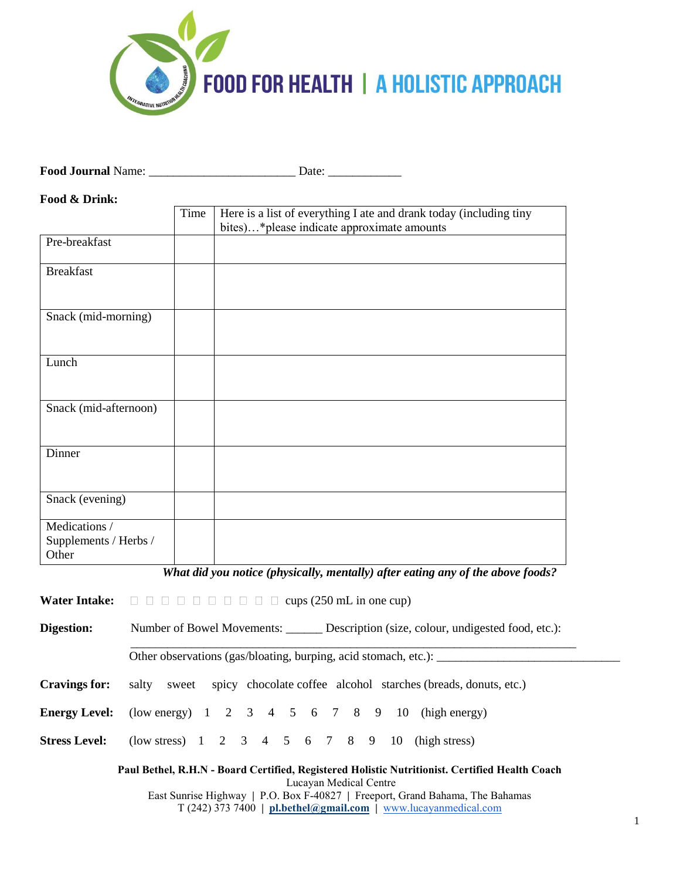

**Food Journal** Name: \_\_\_\_\_\_\_\_\_\_\_\_\_\_\_\_\_\_\_\_\_\_\_\_ Date: \_\_\_\_\_\_\_\_\_\_\_\_

**Food & Drink:** 

|                                                 | Time | Here is a list of everything I ate and drank today (including tiny |
|-------------------------------------------------|------|--------------------------------------------------------------------|
|                                                 |      | bites)*please indicate approximate amounts                         |
| Pre-breakfast                                   |      |                                                                    |
| <b>Breakfast</b>                                |      |                                                                    |
| Snack (mid-morning)                             |      |                                                                    |
| Lunch                                           |      |                                                                    |
| Snack (mid-afternoon)                           |      |                                                                    |
| Dinner                                          |      |                                                                    |
| Snack (evening)                                 |      |                                                                    |
| Medications /<br>Supplements / Herbs /<br>Other |      |                                                                    |

*What did you notice (physically, mentally) after eating any of the above foods?*

\_\_\_\_\_\_\_\_\_\_\_\_\_\_\_\_\_\_\_\_\_\_\_\_\_\_\_\_\_\_\_\_\_\_\_\_\_\_\_\_\_\_\_\_\_\_\_\_\_\_\_\_\_\_\_\_\_\_\_\_\_\_\_\_\_\_\_\_\_\_\_\_\_

**Water Intake:**  $\square \square \square \square \square \square \square \square \square$  cups (250 mL in one cup)

**Digestion:** Number of Bowel Movements: \_\_\_\_\_\_ Description (size, colour, undigested food, etc.):

Other observations (gas/bloating, burping, acid stomach, etc.): \_\_\_\_\_\_\_\_\_\_\_\_\_\_\_\_\_\_\_\_\_\_\_\_\_\_\_\_\_\_

**Cravings for:** salty sweet spicy chocolate coffee alcohol starches (breads, donuts, etc.)

**Energy Level:** (low energy) 1 2 3 4 5 6 7 8 9 10 (high energy)

**Stress Level:** (low stress) 1 2 3 4 5 6 7 8 9 10 (high stress)

**Paul Bethel, R.H.N - Board Certified, Registered Holistic Nutritionist. Certified Health Coach** Lucayan Medical Centre East Sunrise Highway **|** P.O. Box F-40827 **|** Freeport, Grand Bahama, The Bahamas T (242) 373 7400 **| [pl.bethel@gmail.com](mailto:pl.bethel@gmail.com) |** [www.lucayanmedical.com](http://www.lucayanmedical.com/)